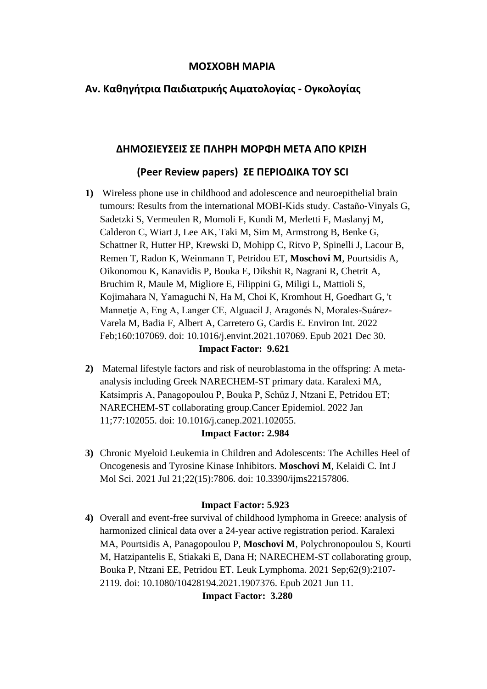## **ΜΟΣΧΟΒΗ ΜΑΡΙΑ**

# **Αν. Καθηγήτρια Παιδιατρικής Αιματολογίας - Ογκολογίας**

### **ΔΗΜΟΣΙΕΥΣΕΙΣ ΣΕ ΠΛΗΡΗ ΜΟΡΦΗ ΜΕΤΑ ΑΠΟ ΚΡΙΣΗ**

# **(Peer Review papers) ΣΕ ΠΕΡΙΟΔΙΚΑ ΤΟΥ SCI**

**1)** Wireless phone use in childhood and adolescence and neuroepithelial brain tumours: Results from the international MOBI-Kids study. Castaño-Vinyals G, Sadetzki S, Vermeulen R, Momoli F, Kundi M, Merletti F, Maslanyj M, Calderon C, Wiart J, Lee AK, Taki M, Sim M, Armstrong B, Benke G, Schattner R, Hutter HP, Krewski D, Mohipp C, Ritvo P, Spinelli J, Lacour B, Remen T, Radon K, Weinmann T, Petridou ET, **Moschovi M**, Pourtsidis A, Oikonomou K, Kanavidis P, Bouka E, Dikshit R, Nagrani R, Chetrit A, Bruchim R, Maule M, Migliore E, Filippini G, Miligi L, Mattioli S, Kojimahara N, Yamaguchi N, Ha M, Choi K, Kromhout H, Goedhart G, 't Mannetje A, Eng A, Langer CE, Alguacil J, Aragonés N, Morales-Suárez-Varela M, Badia F, Albert A, Carretero G, Cardis E. Environ Int. 2022 Feb;160:107069. doi: 10.1016/j.envint.2021.107069. Epub 2021 Dec 30.

### **Impact Factor: 9.621**

**2)** Maternal lifestyle factors and risk of neuroblastoma in the offspring: A metaanalysis including Greek NARECHEM-ST primary data. Karalexi MA, Katsimpris A, Panagopoulou P, Bouka P, Schüz J, Ntzani E, Petridou ET; NARECHEM-ST collaborating group.Cancer Epidemiol. 2022 Jan 11;77:102055. doi: 10.1016/j.canep.2021.102055.

#### **Impact Factor: 2.984**

**3)** Chronic Myeloid Leukemia in Children and Adolescents: The Achilles Heel of Oncogenesis and Tyrosine Kinase Inhibitors. **Moschovi M**, Kelaidi C. Int J Mol Sci. 2021 Jul 21;22(15):7806. doi: 10.3390/ijms22157806.

#### **Impact Factor: 5.923**

**4)** Overall and event-free survival of childhood lymphoma in Greece: analysis of harmonized clinical data over a 24-year active registration period. Karalexi MA, Pourtsidis A, Panagopoulou P, **Moschovi M**, Polychronopoulou S, Kourti M, Hatzipantelis E, Stiakaki E, Dana H; NARECHEM-ST collaborating group, Bouka P, Ntzani EE, Petridou ET. Leuk Lymphoma. 2021 Sep;62(9):2107- 2119. doi: 10.1080/10428194.2021.1907376. Epub 2021 Jun 11.

**Impact Factor: 3.280**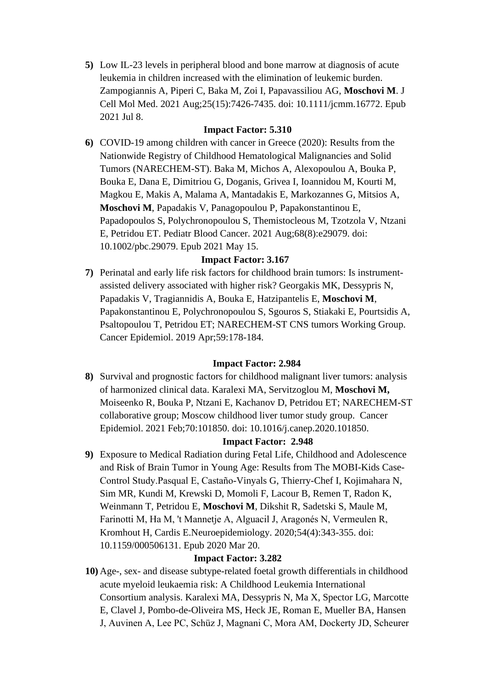**5)** Low IL-23 levels in peripheral blood and bone marrow at diagnosis of acute leukemia in children increased with the elimination of leukemic burden. Zampogiannis A, Piperi C, Baka M, Zoi I, Papavassiliou AG, **Moschovi M**. J Cell Mol Med. 2021 Aug;25(15):7426-7435. doi: 10.1111/jcmm.16772. Epub 2021 Jul 8.

## **Impact Factor: 5.310**

**6)** COVID-19 among children with cancer in Greece (2020): Results from the Nationwide Registry of Childhood Hematological Malignancies and Solid Tumors (NARECHEM-ST). Baka M, Michos A, Alexopoulou A, Bouka P, Bouka E, Dana E, Dimitriou G, Doganis, Grivea I, Ioannidou M, Kourti M, Magkou E, Makis A, Malama A, Mantadakis E, Markozannes G, Mitsios A, **Moschovi M**, Papadakis V, Panagopoulou P, Papakonstantinou E, Papadopoulos S, Polychronopoulou S, Themistocleous M, Tzotzola V, Ntzani E, Petridou ET. Pediatr Blood Cancer. 2021 Aug;68(8):e29079. doi: 10.1002/pbc.29079. Epub 2021 May 15.

# **Impact Factor: 3.167**

**7)** Perinatal and early life risk factors for childhood brain tumors: Is instrumentassisted delivery associated with higher risk? Georgakis MK, Dessypris N, Papadakis V, Tragiannidis A, Bouka E, Hatzipantelis E, **Moschovi M**, Papakonstantinou E, Polychronopoulou S, Sgouros S, Stiakaki E, Pourtsidis A, Psaltopoulou T, Petridou ET; NARECHEM-ST CNS tumors Working Group. Cancer Epidemiol. 2019 Apr;59:178-184.

### **Impact Factor: 2.984**

**8)** Survival and prognostic factors for childhood malignant liver tumors: analysis of harmonized clinical data. Karalexi MA, Servitzoglou M, **Moschovi M,** Moiseenko R, Bouka P, Ntzani E, Kachanov D, Petridou ET; NARECHEM-ST collaborative group; Moscow childhood liver tumor study group. Cancer Epidemiol. 2021 Feb;70:101850. doi: 10.1016/j.canep.2020.101850.

### **Impact Factor: 2.948**

**9)** Exposure to Medical Radiation during Fetal Life, Childhood and Adolescence and Risk of Brain Tumor in Young Age: Results from The MOBI-Kids Case-Control Study.Pasqual E, Castaño-Vinyals G, Thierry-Chef I, Kojimahara N, Sim MR, Kundi M, Krewski D, Momoli F, Lacour B, Remen T, Radon K, Weinmann T, Petridou E, **Moschovi M**, Dikshit R, Sadetski S, Maule M, Farinotti M, Ha M, 't Mannetje A, Alguacil J, Aragonés N, Vermeulen R, Kromhout H, Cardis E.Neuroepidemiology. 2020;54(4):343-355. doi: 10.1159/000506131. Epub 2020 Mar 20.

# **Impact Factor: 3.282**

**10)** Age-, sex- and disease subtype-related foetal growth differentials in childhood acute myeloid leukaemia risk: A Childhood Leukemia International Consortium analysis. Karalexi MA, Dessypris N, Ma X, Spector LG, Marcotte E, Clavel J, Pombo-de-Oliveira MS, Heck JE, Roman E, Mueller BA, Hansen J, Auvinen A, Lee PC, Schüz J, Magnani C, Mora AM, Dockerty JD, Scheurer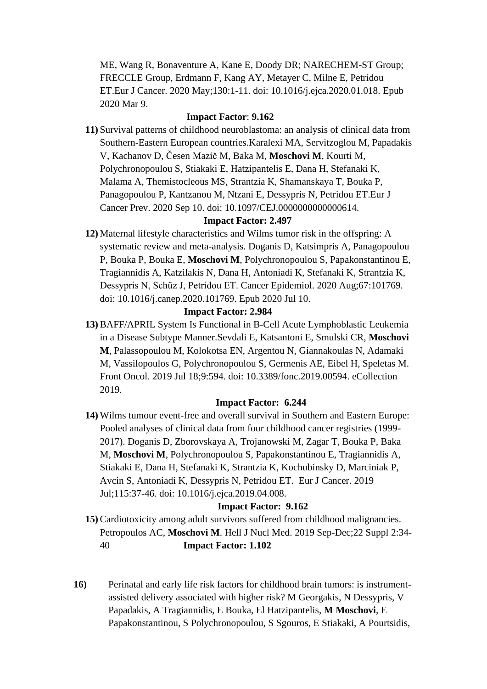ME, Wang R, Bonaventure A, Kane E, Doody DR; NARECHEM-ST Group; FRECCLE Group, Erdmann F, Kang AY, Metayer C, Milne E, Petridou ET.Eur J Cancer. 2020 May;130:1-11. doi: 10.1016/j.ejca.2020.01.018. Epub 2020 Mar 9.

### **Impact Factor**: **9.162**

**11)** Survival patterns of childhood neuroblastoma: an analysis of clinical data from Southern-Eastern European countries.Karalexi MA, Servitzoglou M, Papadakis V, Kachanov D, Česen Mazič M, Baka M, **Moschovi M**, Kourti M, Polychronopoulou S, Stiakaki E, Hatzipantelis E, Dana H, Stefanaki K, Malama A, Themistocleous MS, Strantzia K, Shamanskaya T, Bouka P, Panagopoulou P, Kantzanou M, Ntzani E, Dessypris N, Petridou ET.Eur J Cancer Prev. 2020 Sep 10. doi: 10.1097/CEJ.0000000000000614.

## **Impact Factor: 2.497**

**12)** Maternal lifestyle characteristics and Wilms tumor risk in the offspring: A systematic review and meta-analysis. Doganis D, Katsimpris A, Panagopoulou P, Bouka P, Bouka E, **Moschovi M**, Polychronopoulou S, Papakonstantinou E, Tragiannidis A, Katzilakis N, Dana H, Antoniadi K, Stefanaki K, Strantzia K, Dessypris N, Schüz J, Petridou ET. Cancer Epidemiol. 2020 Aug;67:101769. doi: 10.1016/j.canep.2020.101769. Epub 2020 Jul 10.

### **Impact Factor: 2.984**

**13)** BAFF/APRIL System Is Functional in B-Cell Acute Lymphoblastic Leukemia in a Disease Subtype Manner.Sevdali E, Katsantoni E, Smulski CR, **Moschovi M**, Palassopoulou M, Kolokotsa EN, Argentou N, Giannakoulas N, Adamaki M, Vassilopoulos G, Polychronopoulou S, Germenis AE, Eibel H, Speletas M. Front Oncol. 2019 Jul 18;9:594. doi: 10.3389/fonc.2019.00594. eCollection 2019.

### **Impact Factor: 6.244**

**14)** Wilms tumour event-free and overall survival in Southern and Eastern Europe: Pooled analyses of clinical data from four childhood cancer registries (1999- 2017). Doganis D, Zborovskaya A, Trojanowski M, Zagar T, Bouka P, Baka M, **Moschovi M**, Polychronopoulou S, Papakonstantinou E, Tragiannidis A, Stiakaki E, Dana H, Stefanaki K, Strantzia K, Kochubinsky D, Marciniak P, Avcin S, Antoniadi K, Dessypris N, Petridou ET. Eur J Cancer. 2019 Jul;115:37-46. doi: 10.1016/j.ejca.2019.04.008.

### **Impact Factor: 9.162**

- **15)** Cardiotoxicity among adult survivors suffered from childhood malignancies. Petropoulos AC, **Moschovi M**. Hell J Nucl Med. 2019 Sep-Dec;22 Suppl 2:34- 40 **Impact Factor: 1.102**
- **16)** Perinatal and early life risk factors for childhood brain tumors: is instrumentassisted delivery associated with higher risk? M Georgakis, N Dessypris, V Papadakis, A Tragiannidis, E Bouka, El Hatzipantelis, **M Moschovi**, E Papakonstantinou, S Polychronopoulou, S Sgouros, E Stiakaki, A Pourtsidis,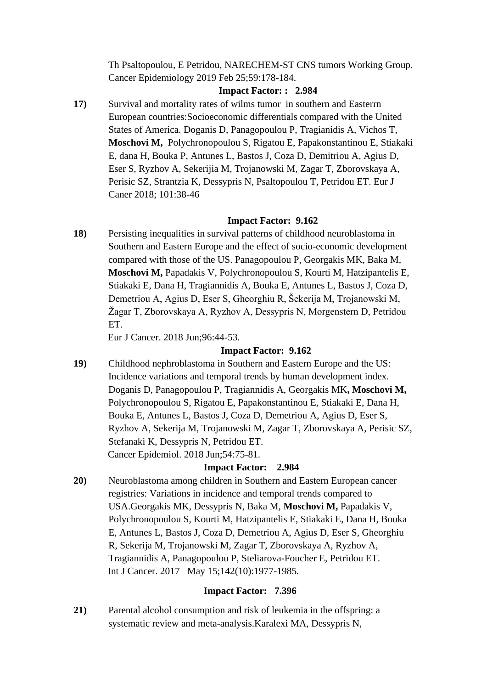Th Psaltopoulou, E Petridou, NARECHEM-ST CNS tumors Working Group. Cancer Epidemiology 2019 Feb 25;59:178-184.

## **Impact Factor: : 2.984**

**17)** Survival and mortality rates of wilms tumor in southern and Easterrn European countries:Socioeconomic differentials compared with the United States of America. Doganis D, Panagopoulou P, Tragianidis A, Vichos T, **Moschovi M,** Polychronopoulou S, Rigatou E, Papakonstantinou E, Stiakaki E, dana H, Bouka P, Antunes L, Bastos J, Coza D, Demitriou A, Agius D, Eser S, Ryzhov A, Sekerijia M, Trojanowski M, Zagar T, Zborovskaya A, Perisic SZ, Strantzia K, Dessypris N, Psaltopoulou T, Petridou ET. Eur J Caner 2018; 101:38-46

# **Impact Factor: 9.162**

**18)** Persisting inequalities in survival patterns of childhood neuroblastoma in Southern and Eastern Europe and the effect of socio-economic development compared with those of the US. Panagopoulou P, Georgakis MK, Baka M, **Moschovi M,** Papadakis V, Polychronopoulou S, Kourti M, Hatzipantelis E, Stiakaki E, Dana H, Tragiannidis A, Bouka E, Antunes L, Bastos J, Coza D, Demetriou A, Agius D, Eser S, Gheorghiu R, Šekerija M, Trojanowski M, Žagar T, Zborovskaya A, Ryzhov A, Dessypris N, Morgenstern D, Petridou ET.

Eur J Cancer. 2018 Jun;96:44-53.

# **Impact Factor: 9.162**

**19)** Childhood nephroblastoma in Southern and Eastern Europe and the US: Incidence variations and temporal trends by human development index. Doganis D, Panagopoulou P, Tragiannidis A, Georgakis MK**, Moschovi M,** Polychronopoulou S, Rigatou E, Papakonstantinou E, Stiakaki E, Dana H, Bouka E, Antunes L, Bastos J, Coza D, Demetriou A, Agius D, Eser S, Ryzhov A, Sekerija M, Trojanowski M, Zagar T, Zborovskaya A, Perisic SZ, Stefanaki K, Dessypris N, Petridou ET. Cancer Epidemiol. 2018 Jun;54:75-81.

### **Impact Factor: 2.984**

**20)** Neuroblastoma among children in Southern and Eastern European cancer registries: Variations in incidence and temporal trends compared to USA.Georgakis MK, Dessypris N, Baka M, **Moschovi M,** Papadakis V, Polychronopoulou S, Kourti M, Hatzipantelis E, Stiakaki E, Dana H, Bouka E, Antunes L, Bastos J, Coza D, Demetriou A, Agius D, Eser S, Gheorghiu R, Sekerija M, Trojanowski M, Zagar T, Zborovskaya A, Ryzhov A, Tragiannidis A, Panagopoulou P, Steliarova-Foucher E, Petridou ET. Int J Cancer. 2017 May 15;142(10):1977-1985.

### **Impact Factor: 7.396**

**21)** Parental alcohol consumption and risk of leukemia in the offspring: a systematic review and meta-analysis.Karalexi MA, Dessypris N,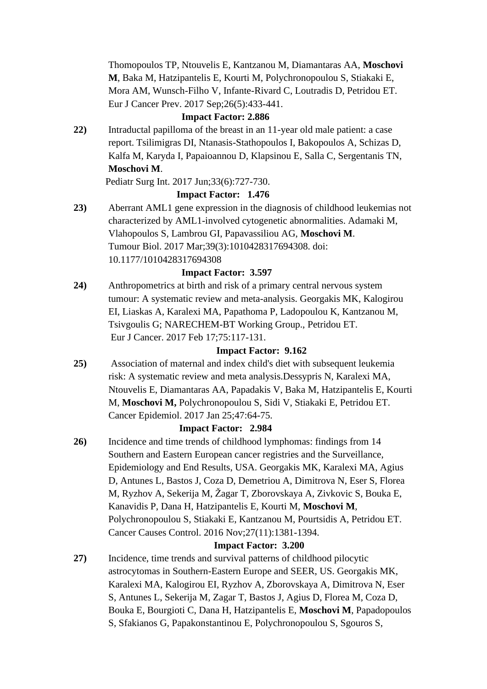Thomopoulos TP, Ntouvelis E, Kantzanou M, Diamantaras AA, **Moschovi M**, Baka M, Hatzipantelis E, Kourti M, Polychronopoulou S, Stiakaki E, Mora AM, Wunsch-Filho V, Infante-Rivard C, Loutradis D, Petridou ET. Eur J Cancer Prev. 2017 Sep;26(5):433-441.

## **Impact Factor: 2.886**

**22)** Intraductal papilloma of the breast in an 11-year old male patient: a case report. Tsilimigras DI, Ntanasis-Stathopoulos I, Bakopoulos A, Schizas D, Kalfa M, Karyda I, Papaioannou D, Klapsinou E, Salla C, Sergentanis TN, **Moschovi M**.

Pediatr Surg Int. 2017 Jun;33(6):727-730.

# **Impact Factor: 1.476**

**23)** Aberrant AML1 gene expression in the diagnosis of childhood leukemias not characterized by AML1-involved cytogenetic abnormalities. Adamaki M, Vlahopoulos S, Lambrou GI, Papavassiliou AG, **Moschovi M**. Tumour Biol. 2017 Mar;39(3):1010428317694308. doi: 10.1177/1010428317694308

### **Impact Factor: 3.597**

**24)** Anthropometrics at birth and risk of a primary central nervous system tumour: A systematic review and meta-analysis. Georgakis MK, Kalogirou EI, Liaskas A, Karalexi MA, Papathoma P, Ladopoulou K, Kantzanou M, Tsivgoulis G; NARECHEM-BT Working Group., Petridou ET. Eur J Cancer. 2017 Feb 17;75:117-131.

### **Impact Factor: 9.162**

**25)** Association of maternal and index child's diet with subsequent leukemia risk: A systematic review and meta analysis.Dessypris N, Karalexi MA, Ntouvelis E, Diamantaras AA, Papadakis V, Baka M, Hatzipantelis E, Kourti M, **Moschovi M,** Polychronopoulou S, Sidi V, Stiakaki E, Petridou ET. Cancer Epidemiol. 2017 Jan 25;47:64-75.

### **Impact Factor: 2.984**

**26)** Incidence and time trends of childhood lymphomas: findings from 14 Southern and Eastern European cancer registries and the Surveillance, Epidemiology and End Results, USA. Georgakis MK, Karalexi MA, Agius D, Antunes L, Bastos J, Coza D, Demetriou A, Dimitrova N, Eser S, Florea M, Ryzhov A, Sekerija M, Žagar T, Zborovskaya A, Zivkovic S, Bouka E, Kanavidis P, Dana H, Hatzipantelis E, Kourti M, **Moschovi M**, Polychronopoulou S, Stiakaki E, Kantzanou Μ, Pourtsidis A, Petridou ET. Cancer Causes Control. 2016 Nov;27(11):1381-1394.

### **Impact Factor: 3.200**

**27)** Incidence, time trends and survival patterns of childhood pilocytic astrocytomas in Southern-Eastern Europe and SEER, US. Georgakis MK, Karalexi MA, Kalogirou EI, Ryzhov A, Zborovskaya A, Dimitrova N, Eser S, Antunes L, Sekerija M, Zagar T, Bastos J, Agius D, Florea M, Coza D, Bouka E, Bourgioti C, Dana H, Hatzipantelis E, **Moschovi M**, Papadopoulos S, Sfakianos G, Papakonstantinou E, Polychronopoulou S, Sgouros S,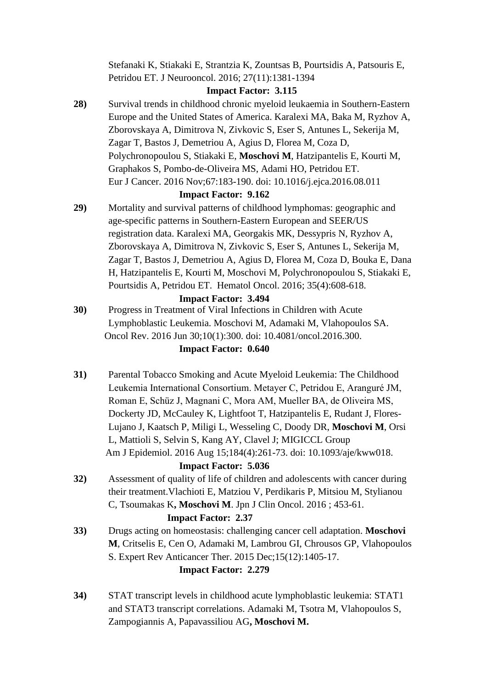Stefanaki K, Stiakaki E, Strantzia K, Zountsas B, Pourtsidis A, Patsouris E, Petridou ET. J Neurooncol. 2016; 27(11):1381-1394

### **Impact Factor: 3.115**

**28)** Survival trends in childhood chronic myeloid leukaemia in Southern-Eastern Europe and the United States of America. Karalexi MA, Baka M, Ryzhov A, Zborovskaya A, Dimitrova N, Zivkovic S, Eser S, Antunes L, Sekerija M, Zagar T, Bastos J, Demetriou A, Agius D, Florea M, Coza D, Polychronopoulou S, Stiakaki E, **Moschovi M**, Hatzipantelis E, Kourti M, Graphakos S, Pombo-de-Oliveira MS, Adami HO, Petridou ET. Eur J Cancer. 2016 Nov;67:183-190. doi: 10.1016/j.ejca.2016.08.011

### **Impact Factor: 9.162**

**29)** Mortality and survival patterns of childhood lymphomas: geographic and age-specific patterns in Southern-Eastern European and SEER/US registration data. Karalexi MA, Georgakis MK, Dessypris N, Ryzhov A, Zborovskaya A, Dimitrova N, Zivkovic S, Eser S, Antunes L, Sekerija M, Zagar T, Bastos J, Demetriou A, Agius D, Florea M, Coza D, Bouka E, Dana H, Hatzipantelis E, Kourti M, Moschovi M, Polychronopoulou S, Stiakaki E, Pourtsidis A, Petridou ET. Hematol Oncol. 2016; 35(4):608-618.

#### **Impact Factor: 3.494**

**30)** Progress in Treatment of Viral Infections in Children with Acute Lymphoblastic Leukemia. Moschovi M, Adamaki M, Vlahopoulos SA. Oncol Rev. 2016 Jun 30;10(1):300. doi: 10.4081/oncol.2016.300.

#### **Impact Factor: 0.640**

**31)** Parental Tobacco Smoking and Acute Myeloid Leukemia: The Childhood Leukemia International Consortium. Metayer C, Petridou E, Aranguré JM, Roman E, Schüz J, Magnani C, Mora AM, Mueller BA, de Oliveira MS, Dockerty JD, McCauley K, Lightfoot T, Hatzipantelis E, Rudant J, Flores-Lujano J, Kaatsch P, Miligi L, Wesseling C, Doody DR, **Moschovi M**, Orsi L, Mattioli S, Selvin S, Kang AY, Clavel J; MIGICCL Group Am J Epidemiol. 2016 Aug 15;184(4):261-73. doi: 10.1093/aje/kww018.

#### **Impact Factor: 5.036**

**32)** Assessment of quality of life of children and adolescents with cancer during their treatment.Vlachioti E, Matziou V, Perdikaris P, Mitsiou M, Stylianou C, Tsoumakas K**, Moschovi M**. Jpn J Clin Oncol. 2016 ; 453-61.

### **Impact Factor: 2.37**

**33)** Drugs acting on homeostasis: challenging cancer cell adaptation. **Moschovi M**, Critselis E, Cen O, Adamaki M, Lambrou GI, Chrousos GP, Vlahopoulos S. Expert Rev Anticancer Ther. 2015 Dec;15(12):1405-17.

## **Impact Factor: 2.279**

**34)** STAT transcript levels in childhood acute lymphoblastic leukemia: STAT1 and STAT3 transcript correlations. Adamaki M, Tsotra M, Vlahopoulos S, Zampogiannis A, Papavassiliou AG**, Moschovi M.**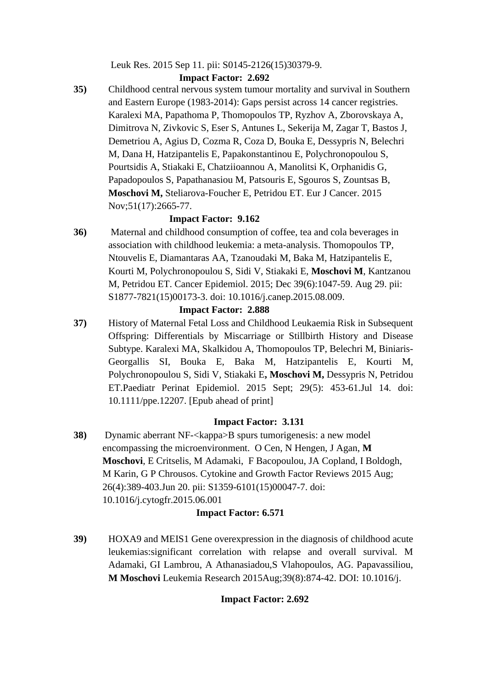Leuk Res. 2015 Sep 11. pii: S0145-2126(15)30379-9.

# **Impact Factor: 2.692**

**35)** Childhood central nervous system tumour mortality and survival in Southern and Eastern Europe (1983-2014): Gaps persist across 14 cancer registries. Karalexi MA, Papathoma P, Thomopoulos TP, Ryzhov A, Zborovskaya A, Dimitrova N, Zivkovic S, Eser S, Antunes L, Sekerija M, Zagar T, Bastos J, Demetriou A, Agius D, Cozma R, Coza D, Bouka E, Dessypris N, Belechri M, Dana H, Hatzipantelis E, Papakonstantinou E, Polychronopoulou S, Pourtsidis A, Stiakaki E, Chatziioannou A, Manolitsi K, Orphanidis G, Papadopoulos S, Papathanasiou M, Patsouris E, Sgouros S, Zountsas B, **Moschovi M,** Steliarova-Foucher E, Petridou ET. Eur J Cancer. 2015 Nov;51(17):2665-77.

# **Impact Factor: 9.162**

**36)** Maternal and childhood consumption of coffee, tea and cola beverages in association with childhood leukemia: a meta-analysis. Thomopoulos TP, Ntouvelis E, Diamantaras AA, Tzanoudaki M, Baka M, Hatzipantelis E, Kourti M, Polychronopoulou S, Sidi V, Stiakaki E, **Moschovi M**, Kantzanou M, Petridou ET. Cancer Epidemiol. 2015; Dec 39(6):1047-59. Aug 29. pii: S1877-7821(15)00173-3. doi: 10.1016/j.canep.2015.08.009.

# **Impact Factor: 2.888**

**37)** History of Maternal Fetal Loss and Childhood Leukaemia Risk in Subsequent Offspring: Differentials by Miscarriage or Stillbirth History and Disease Subtype. Karalexi MA, Skalkidou A, Thomopoulos TP, Belechri M, Biniaris-Georgallis SI, Bouka E, Baka M, Hatzipantelis E, Kourti M, Polychronopoulou S, Sidi V, Stiakaki E**, Moschovi M,** Dessypris N, Petridou ET.Paediatr Perinat Epidemiol. 2015 Sept; 29(5): 453-61.Jul 14. doi: 10.1111/ppe.12207. [Epub ahead of print]

# **Impact Factor: 3.131**

**38)** Dynamic aberrant NF-<kappa>B spurs tumorigenesis: a new model encompassing the microenvironment. O Cen, N Hengen, J Agan, **M Moschovi**, E Critselis, M Adamaki, F Bacopoulou, JA Copland, I Boldogh, M Karin, G P Chrousos. Cytokine and Growth Factor Reviews 2015 Aug; 26(4):389-403.Jun 20. pii: S1359-6101(15)00047-7. doi: 10.1016/j.cytogfr.2015.06.001

# **Impact Factor: 6.571**

**39)** HOXA9 and MEIS1 Gene overexpression in the diagnosis of childhood acute leukemias:significant correlation with relapse and overall survival. M Adamaki, GI Lambrou, A Athanasiadou,S Vlahopoulos, AG. Papavassiliou, **M Moschovi** Leukemia Research 2015Aug;39(8):874-42. DOI: 10.1016/j.

# **Impact Factor: 2.692**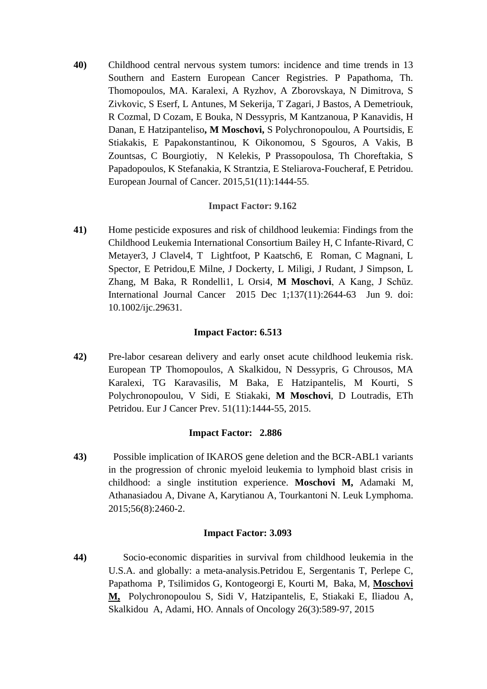**40)** Childhood central nervous system tumors: incidence and time trends in 13 Southern and Eastern European Cancer Registries. P Papathoma, Th. Thomopoulos, MA. Karalexi, A Ryzhov, A Zborovskaya, N Dimitrova, S Zivkovic, S Eserf, L Antunes, M Sekerija, T Zagari, J Bastos, A Demetriouk, R Cozmal, D Cozam, E Bouka, N Dessypris, M Kantzanoua, P Kanavidis, H Danan, E Hatzipanteliso**, M Moschovi,** S Polychronopoulou, A Pourtsidis, E Stiakakis, E Papakonstantinou, K Oikonomou, S Sgouros, A Vakis, B Zountsas, C Bourgiotiy, N Kelekis, P Prassopoulosa, Th Choreftakia, S Papadopoulos, K Stefanakia, K Strantzia, E Steliarova-Foucheraf, E Petridou. European Journal of Cancer. 2015,51(11):1444-55.

## **Impact Factor: 9.162**

**41)** Home pesticide exposures and risk of childhood leukemia: Findings from the Childhood Leukemia International Consortium Bailey H, C Infante-Rivard, C Metayer3, J Clavel4, T Lightfoot, P Kaatsch6, E Roman, C Magnani, L Spector, E Petridou,E Milne, J Dockerty, L Miligi, J Rudant, J Simpson, L Zhang, M Baka, R Rondelli1, L Orsi4, **M Moschovi**, A Kang, J Schüz. International Journal Cancer 2015 Dec 1;137(11):2644-63 Jun 9. doi: 10.1002/ijc.29631.

### **Impact Factor: 6.513**

**42)** Pre-labor cesarean delivery and early onset acute childhood leukemia risk. European TP Thomopoulos, A Skalkidou, N Dessypris, G Chrousos, MA Karalexi, TG Karavasilis, M Baka, E Hatzipantelis, M Kourti, S Polychronopoulou, V Sidi, E Stiakaki, **M Moschovi**, D Loutradis, ETh Petridou. Eur J Cancer Prev. 51(11):1444-55, 2015.

### **Impact Factor: 2.886**

**43)** Possible implication of IKAROS gene deletion and the BCR-ABL1 variants in the progression of chronic myeloid leukemia to lymphoid blast crisis in childhood: a single institution experience. **Moschovi M,** Adamaki M, Athanasiadou A, Divane A, Karytianou A, Tourkantoni N. Leuk Lymphoma. 2015;56(8):2460-2.

### **Impact Factor: 3.093**

**44)** Socio-economic disparities in survival from childhood leukemia in the U.S.A. and globally: a meta-analysis.Petridou E, Sergentanis T, Perlepe C, Papathoma P, Tsilimidos G, Kontogeorgi E, Kourti M, Baka, M, **Moschovi M,** Polychronopoulou S, Sidi V, Hatzipantelis, E, Stiakaki E, Iliadou A, Skalkidou A, Adami, HO. Annals of Oncology 26(3):589-97, 2015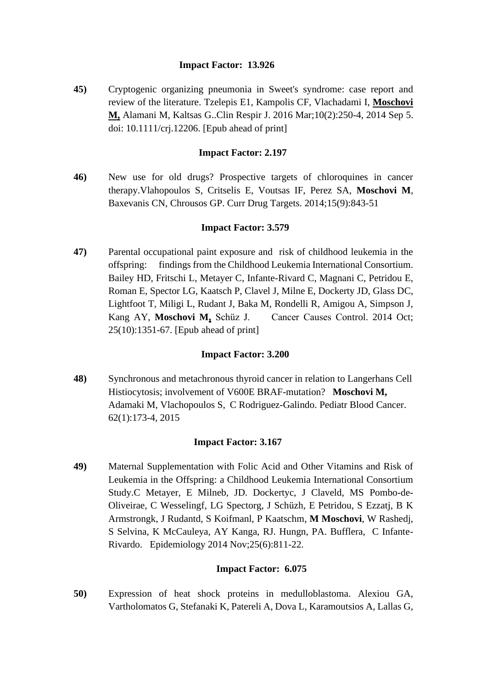### **Impact Factor: 13.926**

**45)** Cryptogenic organizing pneumonia in Sweet's syndrome: case report and review of the literature. Tzelepis E1, Kampolis CF, Vlachadami I, **Moschovi M,** Alamani M, Kaltsas G..Clin Respir J. 2016 Mar;10(2):250-4, 2014 Sep 5. doi: 10.1111/crj.12206. [Epub ahead of print]

## **Impact Factor: 2.197**

**46)** New use for old drugs? Prospective targets of chloroquines in cancer therapy.Vlahopoulos S, Critselis E, Voutsas IF, Perez SA, **Moschovi M**, Baxevanis CN, Chrousos GP. Curr Drug Targets. 2014;15(9):843-51

### **Impact Factor: 3.579**

**47)** Parental occupational paint exposure and risk of childhood leukemia in the offspring: findings from the Childhood Leukemia International Consortium. Bailey HD, Fritschi L, Metayer C, Infante-Rivard C, Magnani C, Petridou E, Roman E, Spector LG, Kaatsch P, Clavel J, Milne E, Dockerty JD, Glass DC, Lightfoot T, Miligi L, Rudant J, Baka M, Rondelli R, Amigou A, Simpson J, Kang AY, **Moschovi M,** Schüz J. Cancer Causes Control. 2014 Oct; 25(10):1351-67. [Epub ahead of print]

### **Impact Factor: 3.200**

**48)** Synchronous and metachronous thyroid cancer in relation to Langerhans Cell Histiocytosis; involvement of V600E BRAF-mutation? **Moschovi M,** Adamaki M, Vlachopoulos S, C Rodriguez-Galindo. Pediatr Blood Cancer. 62(1):173-4, 2015

### **Impact Factor: 3.167**

**49)** Maternal Supplementation with Folic Acid and Other Vitamins and Risk of Leukemia in the Offspring: a Childhood Leukemia International Consortium Study.C Metayer, E Milneb, JD. Dockertyc, J Claveld, MS Pombo-de-Oliveirae, C Wesselingf, LG Spectorg, J Schüzh, E Petridou, S Ezzatj, B K Armstrongk, J Rudantd, S Koifmanl, P Kaatschm, **M Moschovi**, W Rashedj, S Selvina, K McCauleya, AY Kanga, RJ. Hungn, PA. Bufflera, C Infante-Rivardo. Epidemiology 2014 Nov;25(6):811-22.

### **Impact Factor: 6.075**

**50)** Expression of heat shock proteins in medulloblastoma. Alexiou GA, Vartholomatos G, Stefanaki K, Patereli A, Dova L, Karamoutsios A, Lallas G,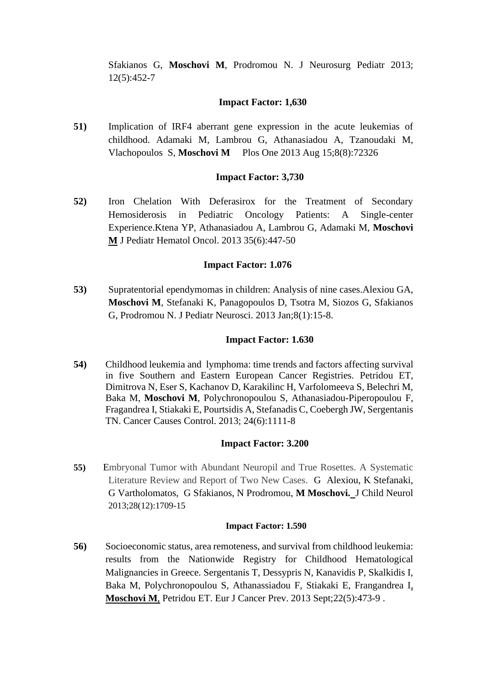Sfakianos G, **Moschovi M**, Prodromou N. J Neurosurg Pediatr 2013; 12(5):452-7

## **Impact Factor: 1,630**

**51)** Implication of IRF4 aberrant gene expression in the acute leukemias of childhood. Adamaki M, Lambrou G, Athanasiadou A, Tzanoudaki M, Vlachopoulos S, **Moschovi M** Plos One 2013 Aug 15;8(8):72326

### **Impact Factor: 3,730**

**52)** Iron Chelation With Deferasirox for the Treatment of Secondary Hemosiderosis in Pediatric Oncology Patients: A Single-center Experience.Ktena YP, Athanasiadou A, Lambrou G, Adamaki M, **Moschovi M** J Pediatr Hematol Oncol. 2013 35(6):447-50

## **Impact Factor: 1.076**

**53)** Supratentorial ependymomas in children: Analysis of nine cases.Alexiou GA, **Moschovi M**, Stefanaki K, Panagopoulos D, Tsotra M, Siozos G, Sfakianos G, Prodromou N. J Pediatr Neurosci. 2013 Jan;8(1):15-8.

### **Impact Factor: 1.630**

**54)** [Childhood leukemia and lymphoma: time trends and factors affecting survival](http://www.ncbi.nlm.nih.gov/pubmed/23529470)  [in five Southern and Eastern European Cancer Registries.](http://www.ncbi.nlm.nih.gov/pubmed/23529470) Petridou ET, Dimitrova N, Eser S, Kachanov D, Karakilinc H, Varfolomeeva S, Belechri M, Baka M, **Moschovi M**, Polychronopoulou S, Athanasiadou-Piperopoulou F, Fragandrea I, Stiakaki E, Pourtsidis A, Stefanadis C, Coebergh JW, Sergentanis TN. Cancer Causes Control. 2013; 24(6):1111-8

### **Impact Factor: 3.200**

**55)** Embryonal Tumor with Abundant Neuropil and True Rosettes. A Systematic Literature Review and Report of Two New Cases. G Alexiou, K Stefanaki, G Vartholomatos, G Sfakianos, N Prodromou, **M Moschovi.** J Child Neurol 2013;28(12):1709-15

#### **Impact Factor: 1.590**

**56)** [Socioeconomic status, area remoteness, and survival from childhood leukemia:](http://www.ncbi.nlm.nih.gov/pubmed/23238585)  [results from the Nationwide Registry for Childhood Hematological](http://www.ncbi.nlm.nih.gov/pubmed/23238585)  [Malignancies in Greece.](http://www.ncbi.nlm.nih.gov/pubmed/23238585) Sergentanis T, Dessypris N, Kanavidis P, Skalkidis I, Baka M, Polychronopoulou S, Athanassiadou F, Stiakaki E, Frangandrea I, **Moschovi M**, Petridou ET. Eur J Cancer Prev. 2013 Sept;22(5):473-9 .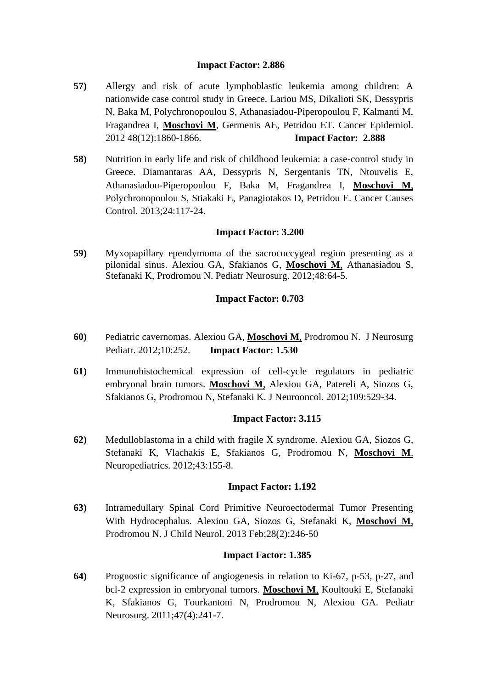## **Impact Factor: 2.886**

- **57)** [Allergy and risk of acute lymphoblastic leukemia among children: A](http://www.ncbi.nlm.nih.gov/pubmed/23182223)  [nationwide case control study in Greece.](http://www.ncbi.nlm.nih.gov/pubmed/23182223) Lariou MS, Dikalioti SK, Dessypris N, Baka M, Polychronopoulou S, Athanasiadou-Piperopoulou F, Kalmanti M, Fragandrea I, **Moschovi M**, Germenis AE, Petridou ET. Cancer Epidemiol. 2012 48(12):1860-1866. **Impact Factor: 2.888**
- **58)** [Nutrition in early life and risk of childhood leukemia: a case-control study in](http://www.ncbi.nlm.nih.gov/pubmed/23179662)  [Greece.](http://www.ncbi.nlm.nih.gov/pubmed/23179662) Diamantaras AA, Dessypris N, Sergentanis TN, Ntouvelis E, Athanasiadou-Piperopoulou F, Baka M, Fragandrea I, **Moschovi M**, Polychronopoulou S, Stiakaki E, Panagiotakos D, Petridou E. Cancer Causes Control. 2013;24:117-24.

### **Impact Factor: 3.200**

**59)** [Myxopapillary ependymoma of the sacrococcygeal region presenting as a](http://www.ncbi.nlm.nih.gov/pubmed/22832654)  [pilonidal sinus.](http://www.ncbi.nlm.nih.gov/pubmed/22832654) Alexiou GA, Sfakianos G, **Moschovi M**, Athanasiadou S, Stefanaki K, Prodromou N. Pediatr Neurosurg. 2012;48:64-5.

## **Impact Factor: 0.703**

- **60)** [P](http://www.ncbi.nlm.nih.gov/pubmed/22768965)[ediatric cavernomas.](http://www.ncbi.nlm.nih.gov/pubmed/22768965) Alexiou GA, **Moschovi M**, Prodromou N. J Neurosurg Pediatr. 2012;10:252. **Impact Factor: 1.530**
- **61)** [Immunohistochemical expression of cell-cycle regulators in pediatric](http://www.ncbi.nlm.nih.gov/pubmed/22763761)  [embryonal brain tumors.](http://www.ncbi.nlm.nih.gov/pubmed/22763761) **Moschovi M**, Alexiou GA, Patereli A, Siozos G, Sfakianos G, Prodromou N, Stefanaki K. J Neurooncol. 2012;109:529-34.

### **Impact Factor: 3.115**

**62)** [Medulloblastoma in a child with fragile X syndrome.](http://www.ncbi.nlm.nih.gov/pubmed/22605614) Alexiou GA, Siozos G, Stefanaki K, Vlachakis E, Sfakianos G, Prodromou N, **Moschovi M**. Neuropediatrics. 2012;43:155-8.

### **Impact Factor: 1.192**

**63)** [Intramedullary Spinal Cord Primitive Neuroectodermal Tumor Presenting](http://www.ncbi.nlm.nih.gov/pubmed/22532539)  [With Hydrocephalus.](http://www.ncbi.nlm.nih.gov/pubmed/22532539) Alexiou GA, Siozos G, Stefanaki K, **Moschovi M**, Prodromou N. J Child Neurol. 2013 Feb;28(2):246-50

### **Impact Factor: 1.385**

**64)** [Prognostic significance of angiogenesis in relation to Ki-67, p-53, p-27, and](http://www.ncbi.nlm.nih.gov/pubmed/22309998)  [bcl-2 expression in embryonal tumors.](http://www.ncbi.nlm.nih.gov/pubmed/22309998) **Moschovi M**, Koultouki E, Stefanaki K, Sfakianos G, Tourkantoni N, Prodromou N, Alexiou GA. Pediatr Neurosurg. 2011;47(4):241-7.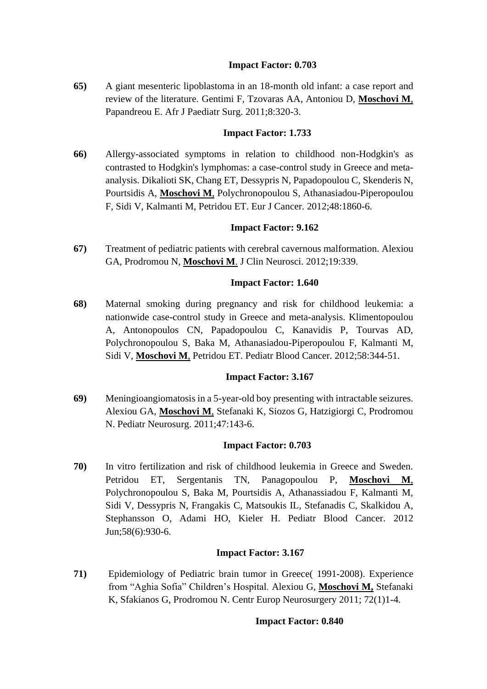## **Impact Factor: 0.703**

**65)** [A giant mesenteric lipoblastoma in an 18-month old infant: a case report and](http://www.ncbi.nlm.nih.gov/pubmed/22248900)  [review of the literature.](http://www.ncbi.nlm.nih.gov/pubmed/22248900) Gentimi F, Tzovaras AA, Antoniou D, **Moschovi M**, Papandreou E. Afr J Paediatr Surg. 2011;8:320-3.

## **Impact Factor: 1.733**

**66)** [Allergy-associated symptoms in relation to childhood non-Hodgkin's as](http://www.ncbi.nlm.nih.gov/pubmed/22230747)  [contrasted to Hodgkin's lymphomas: a case-control study in Greece and meta](http://www.ncbi.nlm.nih.gov/pubmed/22230747)[analysis.](http://www.ncbi.nlm.nih.gov/pubmed/22230747) Dikalioti SK, Chang ET, Dessypris N, Papadopoulou C, Skenderis N, Pourtsidis A, **Moschovi M**, Polychronopoulou S, Athanasiadou-Piperopoulou F, Sidi V, Kalmanti M, Petridou ET. Eur J Cancer. 2012;48:1860-6.

## **Impact Factor: 9.162**

**67)** [Treatment of pediatric patients with cerebral cavernous malformation.](http://www.ncbi.nlm.nih.gov/pubmed/22209396) Alexiou GA, Prodromou N, **Moschovi M**. J Clin Neurosci. 2012;19:339.

## **Impact Factor: 1.640**

**68)** [Maternal smoking during pregnancy and risk for childhood leukemia: a](http://www.ncbi.nlm.nih.gov/pubmed/21990018)  [nationwide case-control study in Greece and meta-analysis.](http://www.ncbi.nlm.nih.gov/pubmed/21990018) Klimentopoulou A, Antonopoulos CN, Papadopoulou C, Kanavidis P, Tourvas AD, Polychronopoulou S, Baka M, Athanasiadou-Piperopoulou F, Kalmanti M, Sidi V, **Moschovi M**, Petridou ET. Pediatr Blood Cancer. 2012;58:344-51.

### **Impact Factor: 3.167**

**69)** [Meningioangiomatosis in a 5-year-old boy presenting with intractable seizures.](http://www.ncbi.nlm.nih.gov/pubmed/21893957) Alexiou GA, **Moschovi M**, Stefanaki K, Siozos G, Hatzigiorgi C, Prodromou N. Pediatr Neurosurg. 2011;47:143-6.

### **Impact Factor: 0.703**

**70)** [In vitro fertilization and risk of childhood leukemia in Greece and Sweden.](http://www.ncbi.nlm.nih.gov/pubmed/21618418) Petridou ET, Sergentanis TN, Panagopoulou P, **Moschovi M**, Polychronopoulou S, Baka M, Pourtsidis A, Athanassiadou F, Kalmanti M, Sidi V, Dessypris N, Frangakis C, Matsoukis IL, Stefanadis C, Skalkidou A, Stephansson O, Adami HO, Kieler H. Pediatr Blood Cancer. 2012 Jun;58(6):930-6.

# **Impact Factor: 3.167**

**71)** Epidemiology of Pediatric brain tumor in Greece( 1991-2008). Experience from "Aghia Sofia" Children's Hospital. Alexiou G, **Moschovi M,** Stefanaki K, Sfakianos G, Prodromou N. Centr Europ Neurosurgery 2011; 72(1)1-4.

### **Impact Factor: 0.840**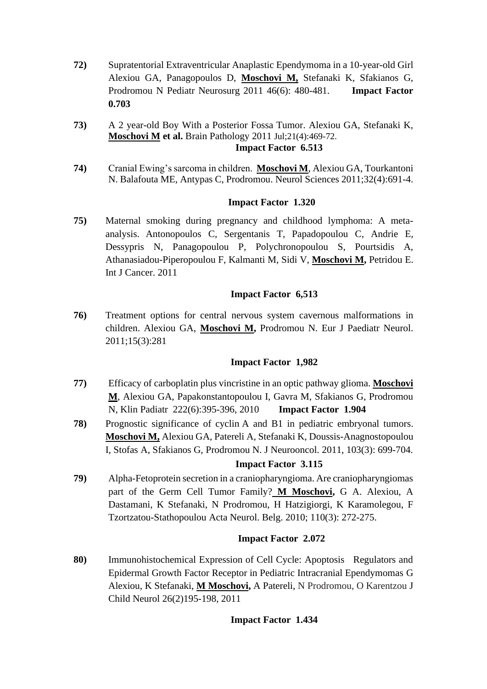- **72)** Supratentorial Extraventricular Anaplastic Ependymoma in a 10-year-old Girl Alexiou GA, Panagopoulos D, **Moschovi M,** Stefanaki K, Sfakianos G, Prodromou N Pediatr Neurosurg 2011 46(6): 480-481. **Impact Factor 0.703**
- **73)** A 2 year-old Boy With a Posterior Fossa Tumor. Alexiou GA, Stefanaki K, **Moschovi M et al.** Brain Pathology 2011 Jul;21(4):469-72.  **Impact Factor 6.513**
- **74)** Cranial Ewing's sarcoma in children. **Moschovi M**, Alexiou GA, Tourkantoni N. Balafouta ME, Antypas C, Prodromou. Neurol Sciences 2011;32(4):691-4.

## **Impact Factor 1.320**

**75)** [Maternal smoking during pregnancy and childhood lymphoma: A meta](http://www.ncbi.nlm.nih.gov/pubmed/21225624)[analysis.](http://www.ncbi.nlm.nih.gov/pubmed/21225624) Antonopoulos C, Sergentanis T, Papadopoulou C, Andrie E, Dessypris N, Panagopoulou P, Polychronopoulou S, Pourtsidis A, Athanasiadou-Piperopoulou F, Kalmanti M, Sidi V, **Moschovi M,** Petridou E. Int J Cancer. 2011

## **Impact Factor 6,513**

**76)** [Treatment options for central nervous system cavernous malformations in](http://www.ncbi.nlm.nih.gov/pubmed/21168351)  [children.](http://www.ncbi.nlm.nih.gov/pubmed/21168351) Alexiou GA, **Moschovi M,** Prodromou N. Eur J Paediatr Neurol. 2011;15(3):281

### **Impact Factor 1,982**

- **77)** Efficacy of carboplatin plus vincristine in an optic pathway glioma. **Moschovi M**, Alexiou GA, Papakonstantopoulou I, Gavra M, Sfakianos G, Prodromou N, Klin Padiatr 222(6):395-396, 2010 **Impact Factor 1.904**
- **78)** Prognostic significance of cyclin [A and B1 in pediatric embryonal tumors.](http://www.ncbi.nlm.nih.gov/pubmed/21069428) **Moschovi M,** Alexiou GA, Patereli A, Stefanaki K, Doussis-Anagnostopoulou I, Stofas A, Sfakianos G, Prodromou N. J Neurooncol. 2011, 103(3): 699-704.

# **Impact Factor 3.115**

**79)** Alpha-Fetoprotein secretion in a craniopharyngioma. Are craniopharyngiomas part of the Germ Cell Tumor Family? **M Moschovi,** G A. Alexiou, A Dastamani, K Stefanaki, N Prodromou, Η Hatzigiorgi, K Karamolegou, F Tzortzatou-Stathopoulou Acta Neurol. Belg. 2010; 110(3): 272-275.

# **Impact Factor 2.072**

**80)** Immunohistochemical Expression of Cell Cycle: Apoptosis Regulators and Epidermal Growth Factor Receptor in Pediatric Intracranial Ependymomas G Alexiou, K Stefanaki, **M Moschovi,** A Patereli, N Prodromou, O Karentzou J Child Neurol 26(2)195-198, 2011

### **Impact Factor 1.434**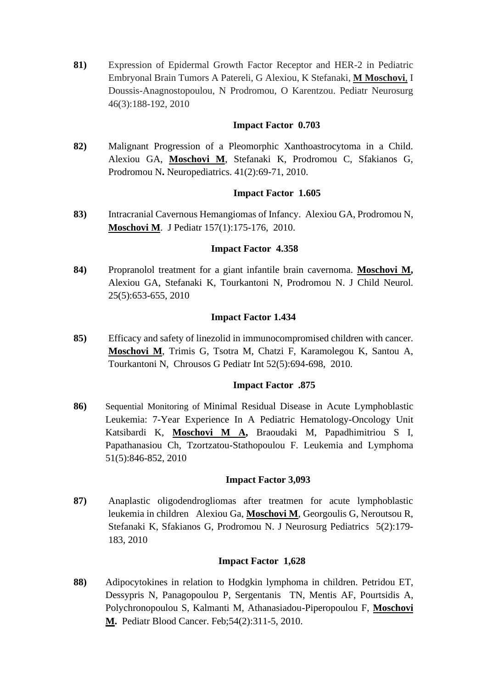**81)** Expression of Epidermal Growth Factor Receptor and HER-2 in Pediatric Embryonal Brain Tumors A Patereli, G Alexiou, K Stefanaki, **M Moschovi**, I Doussis-Anagnostopoulou, N Prodromou, O Karentzou. Pediatr Neurosurg 46(3):188-192, 2010

### **Impact Factor 0.703**

**82)** Malignant Progression of a Pleomorphic Xanthoastrocytoma in a Child. Alexiou GA, **Moschovi M**, Stefanaki K, Prodromou C, Sfakianos G, Prodromou N**.** Neuropediatrics. 41(2):69-71, 2010.

## **Impact Factor 1.605**

**83)** Intracranial Cavernous Hemangiomas of Infancy. Alexiou GA, Prodromou N, **Moschovi M**. J Pediatr 157(1):175-176, 2010.

### **Impact Factor 4.358**

**84)** Propranolol treatment for a giant infantile brain cavernoma. **Moschovi M,** Alexiou GA, Stefanaki K, Tourkantoni N, Prodromou N. J Child Neurol. 25(5):653-655, 2010

## **Impact Factor 1.434**

**85)** Efficacy and safety of linezolid in immunocompromised children with cancer. **Moschovi M**, Trimis G, Tsotra M, Chatzi F, Karamolegou K, Santou A, Tourkantoni N, Chrousos G Pediatr Int 52(5):694-698, 2010.

### **Impact Factor .875**

**86)** Sequential Monitoring of Minimal Residual Disease in Acute Lymphoblastic Leukemia: 7-Year Experience In A Pediatric Hematology-Oncology Unit Katsibardi K, **Moschovi M A,** Braoudaki M, Papadhimitriou S I, Papathanasiou Ch, Tzortzatou-Stathopoulou F. Leukemia and Lymphoma 51(5):846-852, 2010

### **Impact Factor 3,093**

**87)** Anaplastic oligodendrogliomas after treatmen for acute lymphoblastic leukemia in childrenAlexiou Ga, **Moschovi M**, Georgoulis G, Neroutsou R, Stefanaki K, Sfakianos G, Prodromou N. J Neurosurg Pediatrics 5(2):179- 183, 2010

### **Impact Factor 1,628**

**88)** [Adipocytokines in relation to Hodgkin lymphoma in children.](http://www.ncbi.nlm.nih.gov/pubmed/19856392?itool=EntrezSystem2.PEntrez.Pubmed.Pubmed_ResultsPanel.Pubmed_RVDocSum&ordinalpos=1) Petridou ET, Dessypris N, Panagopoulou P, Sergentanis TN, Mentis AF, Pourtsidis A, Polychronopoulou S, Kalmanti M, Athanasiadou-Piperopoulou F, **Moschovi M.** Pediatr Blood Cancer. Feb;54(2):311-5, 2010.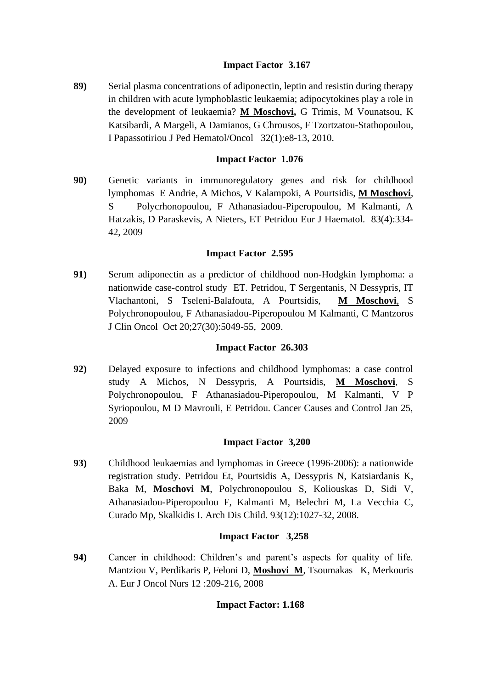# **Impact Factor 3.167**

**89)** Serial plasma concentrations of adiponectin, leptin and resistin during therapy in children with acute lymphoblastic leukaemia; adipocytokines play a role in the development of leukaemia? **M Moschovi,** G Trimis, M Vounatsou, K Katsibardi, A Margeli, A Damianos, G Chrousos, F Tzortzatou-Stathopoulou, I Papassotiriou J Ped Hematol/Oncol 32(1):e8-13, 2010.

# **Impact Factor 1.076**

**90)** Genetic variants in immunoregulatory genes and risk for childhood lymphomas E Andrie, A Michos, V Kalampoki, A Pourtsidis, **M Moschovi**, S Polycrhonopoulou, F Athanasiadou-Piperopoulou, M Kalmanti, A Hatzakis, D Paraskevis, A Nieters, ET Petridou Eur J Haematol. 83(4):334- 42, 2009

# **Impact Factor 2.595**

**91)** Serum adiponectin as a predictor of childhood non-Hodgkin lymphoma: a nationwide case-control study ET. Petridou, T Sergentanis, N Dessypris, IT Vlachantoni, S Tseleni-Balafouta, A Pourtsidis, **M Moschovi**, S Polychronopoulou, F Athanasiadou-Piperopoulou M Kalmanti, C Mantzoros J Clin Oncol Oct 20;27(30):5049-55, 2009.

## **Impact Factor 26.303**

**92)** Delayed exposure to infections and childhood lymphomas: a case control study A Michos, N Dessypris, A Pourtsidis, **M Moschovi**, S Polychronopoulou, F Athanasiadou-Piperopoulou, M Kalmanti, V P Syriopoulou, M D Mavrouli, E Petridou. Cancer Causes and Control Jan 25, 2009

### **Impact Factor 3,200**

**93)** Childhood leukaemias and lymphomas in Greece (1996-2006): a nationwide registration study. [Petridou Et,](http://www.ncbi.nlm.nih.gov/sites/entrez?Db=pubmed&Cmd=Search&Term=%22Petridou%20ET%22%5BAuthor%5D&itool=EntrezSystem2.PEntrez.Pubmed.Pubmed_ResultsPanel.Pubmed_DiscoveryPanel.Pubmed_RVAbstractPlus) [Pourtsidis A,](http://www.ncbi.nlm.nih.gov/sites/entrez?Db=pubmed&Cmd=Search&Term=%22Pourtsidis%20A%22%5BAuthor%5D&itool=EntrezSystem2.PEntrez.Pubmed.Pubmed_ResultsPanel.Pubmed_DiscoveryPanel.Pubmed_RVAbstractPlus) [Dessypris N,](http://www.ncbi.nlm.nih.gov/sites/entrez?Db=pubmed&Cmd=Search&Term=%22Dessypris%20N%22%5BAuthor%5D&itool=EntrezSystem2.PEntrez.Pubmed.Pubmed_ResultsPanel.Pubmed_DiscoveryPanel.Pubmed_RVAbstractPlus) [Katsiardanis K,](http://www.ncbi.nlm.nih.gov/sites/entrez?Db=pubmed&Cmd=Search&Term=%22Katsiardanis%20K%22%5BAuthor%5D&itool=EntrezSystem2.PEntrez.Pubmed.Pubmed_ResultsPanel.Pubmed_DiscoveryPanel.Pubmed_RVAbstractPlus) [Baka M,](http://www.ncbi.nlm.nih.gov/sites/entrez?Db=pubmed&Cmd=Search&Term=%22Baka%20M%22%5BAuthor%5D&itool=EntrezSystem2.PEntrez.Pubmed.Pubmed_ResultsPanel.Pubmed_DiscoveryPanel.Pubmed_RVAbstractPlus) **[Moschovi M](http://www.ncbi.nlm.nih.gov/sites/entrez?Db=pubmed&Cmd=Search&Term=%22Moschovi%20M%22%5BAuthor%5D&itool=EntrezSystem2.PEntrez.Pubmed.Pubmed_ResultsPanel.Pubmed_DiscoveryPanel.Pubmed_RVAbstractPlus)**, [Polychronopoulou S,](http://www.ncbi.nlm.nih.gov/sites/entrez?Db=pubmed&Cmd=Search&Term=%22Polychronopoulou%20S%22%5BAuthor%5D&itool=EntrezSystem2.PEntrez.Pubmed.Pubmed_ResultsPanel.Pubmed_DiscoveryPanel.Pubmed_RVAbstractPlus) [Koliouskas D,](http://www.ncbi.nlm.nih.gov/sites/entrez?Db=pubmed&Cmd=Search&Term=%22Koliouskas%20D%22%5BAuthor%5D&itool=EntrezSystem2.PEntrez.Pubmed.Pubmed_ResultsPanel.Pubmed_DiscoveryPanel.Pubmed_RVAbstractPlus) [Sidi V,](http://www.ncbi.nlm.nih.gov/sites/entrez?Db=pubmed&Cmd=Search&Term=%22Sidi%20V%22%5BAuthor%5D&itool=EntrezSystem2.PEntrez.Pubmed.Pubmed_ResultsPanel.Pubmed_DiscoveryPanel.Pubmed_RVAbstractPlus) [Athanasiadou-Piperopoulou F,](http://www.ncbi.nlm.nih.gov/sites/entrez?Db=pubmed&Cmd=Search&Term=%22Athanasiadou-Piperopoulou%20F%22%5BAuthor%5D&itool=EntrezSystem2.PEntrez.Pubmed.Pubmed_ResultsPanel.Pubmed_DiscoveryPanel.Pubmed_RVAbstractPlus) [Kalmanti M,](http://www.ncbi.nlm.nih.gov/sites/entrez?Db=pubmed&Cmd=Search&Term=%22Kalmanti%20M%22%5BAuthor%5D&itool=EntrezSystem2.PEntrez.Pubmed.Pubmed_ResultsPanel.Pubmed_DiscoveryPanel.Pubmed_RVAbstractPlus) [Belechri M,](http://www.ncbi.nlm.nih.gov/sites/entrez?Db=pubmed&Cmd=Search&Term=%22Belechri%20M%22%5BAuthor%5D&itool=EntrezSystem2.PEntrez.Pubmed.Pubmed_ResultsPanel.Pubmed_DiscoveryPanel.Pubmed_RVAbstractPlus) [La Vecchia C,](http://www.ncbi.nlm.nih.gov/sites/entrez?Db=pubmed&Cmd=Search&Term=%22La%20Vecchia%20C%22%5BAuthor%5D&itool=EntrezSystem2.PEntrez.Pubmed.Pubmed_ResultsPanel.Pubmed_DiscoveryPanel.Pubmed_RVAbstractPlus) [Curado Mp,](http://www.ncbi.nlm.nih.gov/sites/entrez?Db=pubmed&Cmd=Search&Term=%22Curado%20MP%22%5BAuthor%5D&itool=EntrezSystem2.PEntrez.Pubmed.Pubmed_ResultsPanel.Pubmed_DiscoveryPanel.Pubmed_RVAbstractPlus) [Skalkidis I.](http://www.ncbi.nlm.nih.gov/sites/entrez?Db=pubmed&Cmd=Search&Term=%22Skalkidis%20I%22%5BAuthor%5D&itool=EntrezSystem2.PEntrez.Pubmed.Pubmed_ResultsPanel.Pubmed_DiscoveryPanel.Pubmed_RVAbstractPlus) [Arch Dis Child.](javascript:AL_get(this,%20) 93(12):1027-32, 2008.

# **Impact Factor 3,258**

**94)** Cancer in childhood: Children's and parent's aspects for quality of life. Mantziou V, Perdikaris P, Feloni D, **Moshovi M**, Tsoumakas K, Merkouris A. Eur J Oncol Nurs 12 :209-216, 2008

# **Impact Factor: 1.168**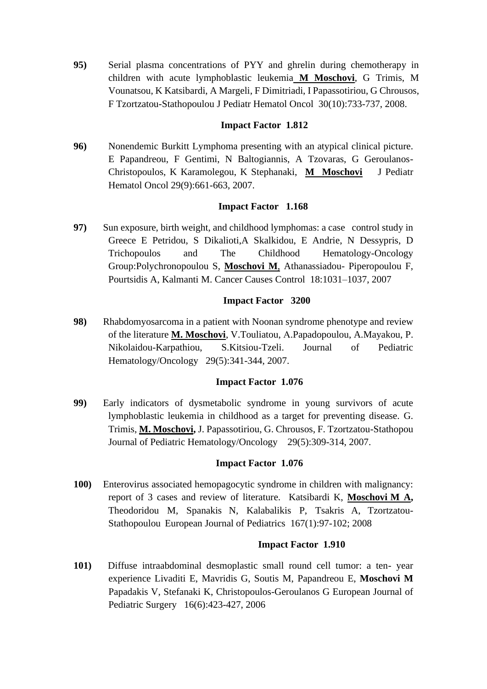**95)** Serial plasma concentrations of PYY and ghrelin during chemotherapy in children with acute lymphoblastic leukemia **M Moschovi**, G Trimis, M Vounatsou, K Katsibardi, A Margeli, F Dimitriadi, I Papassotiriou, G Chrousos, F Tzortzatou-Stathopoulou J Pediatr Hematol Oncol 30(10):733-737, 2008.

### **Impact Factor 1.812**

**96)** Nonendemic Burkitt Lymphoma presenting with an atypical clinical picture. E Papandreou, F Gentimi, N Baltogiannis, A Tzovaras, G Geroulanos-Christopoulos, K Karamolegou, K Stephanaki, **M Moschovi** J Pediatr Hematol Oncol 29(9):661-663, 2007.

## **Impact Factor 1.168**

**97)** Sun exposure, birth weight, and childhood lymphomas: a case control study in Greece E Petridou, S Dikalioti,A Skalkidou, E Andrie, N Dessypris, D Trichopoulos and The Childhood Hematology-Oncology Group:Polychronopoulou S, **Moschovi M**, Athanassiadou- Piperopoulou F, Pourtsidis A, Kalmanti M. Cancer Causes Control 18:1031–1037, 2007

## **Impact Factor 3200**

**98)** Rhabdomyosarcoma in a patient with Noonan syndrome phenotype and review of the literature **M. Moschovi**, V.Touliatou, Α.Papadopoulou, A.Mayakou, P. Nikolaidou-Karpathiou, S.Kitsiou-Tzeli. Journal of Pediatric Hematology/Oncology 29(5):341-344, 2007.

### **Impact Factor 1.076**

**99)** Early indicators of dysmetabolic syndrome in young survivors of acute lymphoblastic leukemia in childhood as a target for preventing disease. G. Trimis, **M. Moschovi,** J. Papassotiriou, G. Chrousos, F. Tzortzatou-Stathopou Journal of Pediatric Hematology/Oncology 29(5):309-314, 2007.

### **Impact Factor 1.076**

**100)** Enterovirus associated hemopagocytic syndrome in children with malignancy: report of 3 cases and review of literature. Katsibardi K, **Moschovi M A,** Theodoridou M, Spanakis N, Kalabalikis P, Tsakris A, Tzortzatou-Stathopoulou European Journal of Pediatrics 167(1):97-102; 2008

### **Impact Factor 1.910**

**101)** Diffuse intraabdominal desmoplastic small round cell tumor: a ten- year experience [Livaditi E,](http://www.ncbi.nlm.nih.gov/entrez/query.fcgi?db=pubmed&cmd=Search&itool=pubmed_AbstractPlus&term=%22Livaditi+E%22%5BAuthor%5D) [Mavridis G,](http://www.ncbi.nlm.nih.gov/entrez/query.fcgi?db=pubmed&cmd=Search&itool=pubmed_AbstractPlus&term=%22Mavridis+G%22%5BAuthor%5D) [Soutis M,](http://www.ncbi.nlm.nih.gov/entrez/query.fcgi?db=pubmed&cmd=Search&itool=pubmed_AbstractPlus&term=%22Soutis+M%22%5BAuthor%5D) [Papandreou E,](http://www.ncbi.nlm.nih.gov/entrez/query.fcgi?db=pubmed&cmd=Search&itool=pubmed_AbstractPlus&term=%22Papandreou+E%22%5BAuthor%5D) **Moschovi M** [Papadakis V,](http://www.ncbi.nlm.nih.gov/entrez/query.fcgi?db=pubmed&cmd=Search&itool=pubmed_AbstractPlus&term=%22Papadakis+V%22%5BAuthor%5D) [Stefanaki K,](http://www.ncbi.nlm.nih.gov/entrez/query.fcgi?db=pubmed&cmd=Search&itool=pubmed_AbstractPlus&term=%22Stefanaki+K%22%5BAuthor%5D) [Christopoulos-Geroulanos G](http://www.ncbi.nlm.nih.gov/entrez/query.fcgi?db=pubmed&cmd=Search&itool=pubmed_AbstractPlus&term=%22Christopoulos%2DGeroulanos+G%22%5BAuthor%5D) European Journal of Pediatric Surgery 16(6):423-427, 2006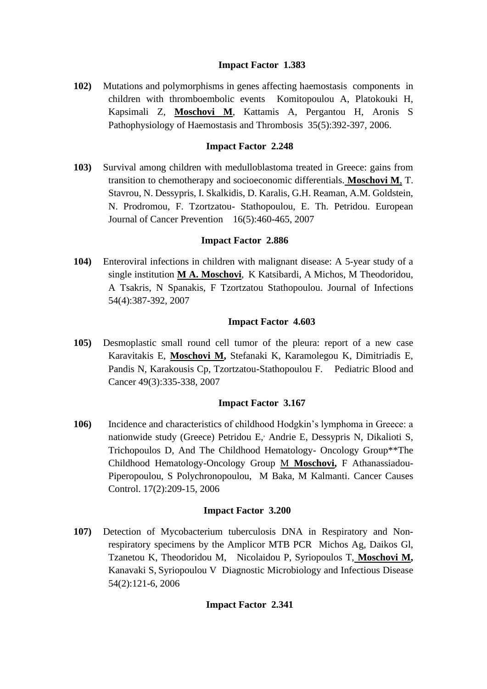## **Impact Factor 1.383**

**102)** Mutations and polymorphisms in genes affecting haemostasis components in children with thromboembolic events Komitopoulou A, Platokouki H, Kapsimali Z, **Moschovi M**, Kattamis A, Pergantou H, Aronis S Pathophysiology of Haemostasis and Thrombosis 35(5):392-397, 2006.

### **Impact Factor 2.248**

**103)** Survival among children with medulloblastoma treated in Greece: gains from transition to chemotherapy and socioeconomic differentials. **Moschovi M**, T. Stavrou, N. Dessypris, I. Skalkidis, D. Karalis, G.H. Reaman, A.M. Goldstein, N. Prodromou, F. Tzortzatou- Stathopoulou, E. Th. Petridou. European Journal of Cancer Prevention 16(5):460-465, 2007

## **Impact Factor 2.886**

**104)** Enteroviral infections in children with malignant disease: A 5-year study of a single institution **M A. Moschovi**, K Katsibardi, A Michos, M Theodoridou, A Tsakris, N Spanakis, F Tzortzatou Stathopoulou. Journal of Infections 54(4):387-392, 2007

## **Impact Factor 4.603**

**105)** Desmoplastic small round cell tumor of the pleura: report of a new case Karavitakis E, **Moschovi M,** Stefanaki K, Karamolegou K, Dimitriadis E, Pandis N, Karakousis Cp, Tzortzatou-Stathopoulou F.Pediatric Blood and Cancer 49(3):335-338, 2007

### **Impact Factor 3.167**

**106)** Incidence and characteristics of childhood Hodgkin's lymphoma in Greece: a nationwide study (Greece) Petridou E, Andrie E, Dessypris N, Dikalioti S, Trichopoulos D, And The Childhood Hematology- Oncology Group\*\*The Childhood Hematology-Oncology Group M **Moschovi,** F Athanassiadou-Piperopoulou, S Polychronopoulou, M Baka, M Kalmanti. Cancer Causes Control. 17(2):209-15, 2006

### **Impact Factor 3.200**

**107)** Detection of Mycobacterium tuberculosis DNA in Respiratory and Nonrespiratory specimens by the Amplicor MTB PCR Michos Ag, Daikos Gl, Tzanetou K, Theodoridou M, Nicolaidou P, Syriopoulos T, **Moschovi M,** Kanavaki S, Syriopoulou V Diagnostic Microbiology and Infectious Disease 54(2):121-6, 2006

# **Impact Factor 2.341**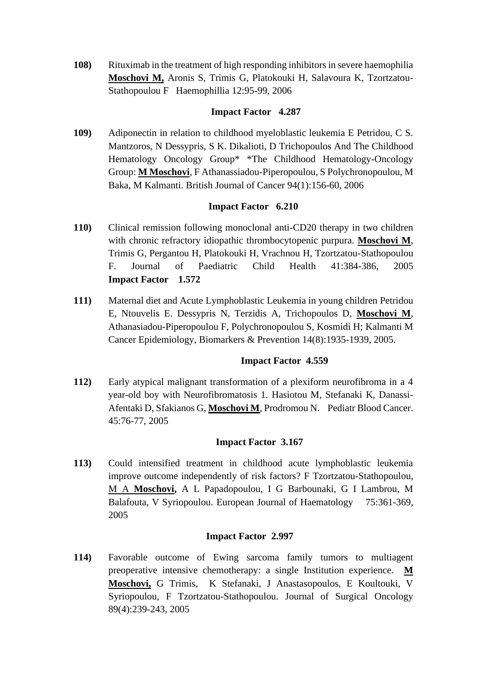**108)** Rituximab in the treatment of high responding inhibitors in severe haemophilia **Moschovi M,** Aronis S, Trimis G, Platokouki H, Salavoura K, Tzortzatou-Stathopoulou FHaemophillia 12:95-99, 2006

## **Impact Factor 4.287**

**109)** Adiponectin in relation to childhood myeloblastic leukemia E Petridou, C S. Mantzoros, N Dessypris, S K. Dikalioti, D Trichopoulos And The Childhood Hematology Oncology Group\* \*The Childhood Hematology-Oncology Group: **M Moschovi**, F Athanassiadou-Piperopoulou, S Polychronopoulou, M Baka, M Kalmanti. British Journal of Cancer 94(1):156-60, 2006

# **Impact Factor 6.210**

- **110)** Clinical remission following monoclonal anti-CD20 therapy in two children with chronic refractory idiopathic thrombocytopenic purpura. **Moschovi M**, Trimis G, Pergantou H, Platokouki H, Vrachnou H, Tzortzatou-Stathopoulou F. Journal of Paediatric Child Health 41:384-386, 2005 **Impact Factor 1.572**
- **111)** Maternal diet and Acute Lymphoblastic Leukemia in young children Petridou E, Ntouvelis E. Dessypris N, Terzidis A, Trichopoulos D, **Moschovi M**, Athanasiadou-Piperopoulou F, Polychronopoulou S, Kosmidi H; Kalmanti M Cancer Epidemiology, Biomarkers & Prevention 14(8):1935-1939, 2005.

# **Impact Factor 4.559**

**112)** Early atypical malignant transformation of a plexiform neurofibroma in a 4 year-old boy with Neurofibromatosis 1. Hasiotou M, Stefanaki K, Danassi-Afentaki D, Sfakianos G, **Moschovi M**, Prodromou N. Pediatr Blood Cancer. 45:76-77, 2005

# **Impact Factor 3.167**

**113)** Could intensified treatment in childhood acute lymphoblastic leukemia improve outcome independently of risk factors? F Tzortzatou-Stathopoulou, M A **Moschovi,** A L Papadopoulou, I G Barbounaki, G I Lambrou, M Balafouta, V Syriopoulou. European Journal of Haematology 75:361-369, 2005

### **Impact Factor 2.997**

**114)** Favorable outcome of Ewing sarcoma family tumors to multiagent preoperative intensive chemotherapy: a single Institution experience. **M Moschovi,** G Trimis, K Stefanaki, J Anastasopoulos, E Koultouki, V Syriopoulou, F Tzortzatou-Stathopoulou. Journal of Surgical Oncology 89(4):239-243, 2005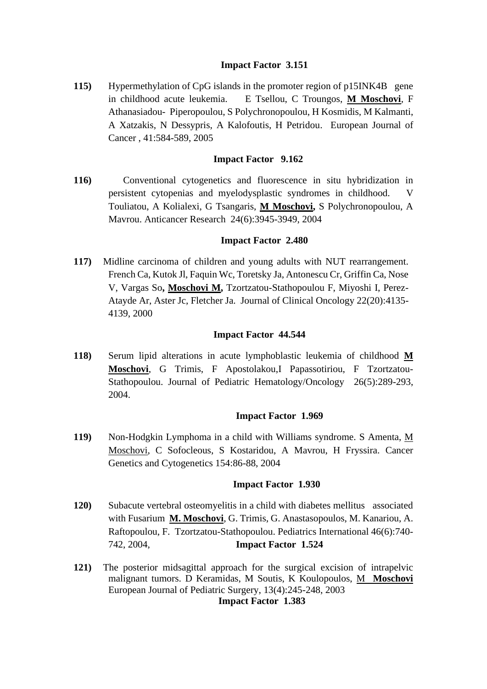## **Impact Factor 3.151**

**115)** Hypermethylation of CpG islands in the promoter region of p15INK4B gene in childhood acute leukemia. E Tsellou, C Troungos, **M Moschovi**, F Athanasiadou- Piperopoulou, S Polychronopoulou, H Kosmidis, M Kalmanti, A Xatzakis, N Dessypris, A Kalofoutis, H Petridou. European Journal of Cancer , 41:584-589, 2005

### **Impact Factor 9.162**

**116)** Conventional cytogenetics and fluorescence in situ hybridization in persistent cytopenias and myelodysplastic syndromes in childhood. V Touliatou, A Kolialexi, G Tsangaris, **M Moschovi,** S Polychronopoulou, A Mavrou. Anticancer Research 24(6):3945-3949, 2004

### **Impact Factor 2.480**

**117)** Midline carcinoma of children and young adults with NUT rearrangement. French Ca, Kutok Jl, Faquin Wc, Toretsky Ja, Antonescu Cr, Griffin Ca, Nose V, Vargas So**, Moschovi M,** Tzortzatou-Stathopoulou F, Miyoshi I, Perez-Atayde Ar, Aster Jc, Fletcher Ja. Journal of Clinical Oncology 22(20):4135- 4139, 2000

#### **Impact Factor 44.544**

**118)** Serum lipid alterations in acute lymphoblastic leukemia of childhood **M Moschovi**, G Trimis, F Apostolakou,I Papassotiriou, F Tzortzatou-Stathopoulou. Journal of Pediatric Hematology/Oncology 26(5):289-293, 2004.

#### **Impact Factor 1.969**

**119)** Non-Hodgkin Lymphoma in a child with Williams syndrome. S Amenta, M Moschovi, C Sofocleous, S Kostaridou, A Mavrou, H Fryssira. Cancer Genetics and Cytogenetics 154:86-88, 2004

#### **Impact Factor 1.930**

- **120)** Subacute vertebral osteomyelitis in a child with diabetes mellitus associated with Fusarium **M. Moschovi**, G. Trimis, G. Anastasopoulos, M. Kanariou, A. Raftopoulou, F. Tzortzatou-Stathopoulou. Pediatrics International 46(6):740- 742, 2004, **Impact Factor 1.524**
- **121)** The posterior midsagittal approach for the surgical excision of intrapelvic malignant tumors. D Keramidas, M Soutis, K Koulopoulos, M **Moschovi** European Journal of Pediatric Surgery, 13(4):245-248, 2003 **Impact Factor 1.383**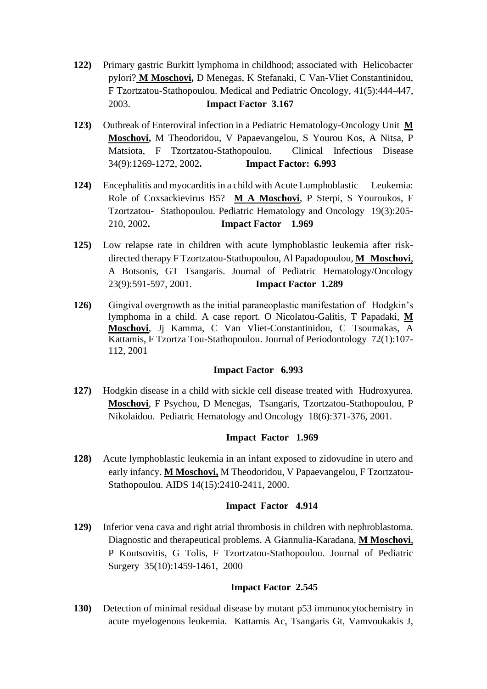- **122)** Primary gastric Burkitt lymphoma in childhood; associated with Helicobacter pylori? **M Moschovi,** D Menegas, K Stefanaki, C Van-Vliet Constantinidou, F Tzortzatou-Stathopoulou. Medical and Pediatric Oncology, 41(5):444-447, 2003. **Impact Factor 3.167**
- **123)** Outbreak of Enteroviral infection in a Pediatric Hematology-Oncology Unit **M Moschovi,** M Theodoridou, V Papaevangelou, S Yourou Kos, A Nitsa, P Matsiota, F Tzortzatou-Stathopoulou. Clinical Infectious Disease 34(9):1269-1272, 2002**. Impact Factor: 6.993**
- **124)** Encephalitis and myocarditis in a child with Acute Lumphoblastic Leukemia: Role of Coxsackievirus B5? **M A Moschovi**, P Sterpi, S Youroukos, F Tzortzatou- Stathopoulou. Pediatric Hematology and Oncology 19(3):205- 210, 2002**. Impact Factor 1.969**
- **125)** Low relapse rate in children with acute lymphoblastic leukemia after riskdirected therapy F Tzortzatou-Stathopoulou, Al Papadopoulou, **M Moschovi**, A Botsonis, GT Tsangaris. Journal of Pediatric Hematology/Oncology 23(9):591-597, 2001. **Impact Factor 1.289**
- **126)** Gingival overgrowth as the initial paraneoplastic manifestation of Hodgkin's lymphoma in a child. A case report. O Nicolatou-Galitis, T Papadaki, **M Moschovi**, Jj Kamma, C Van Vliet-Constantinidou, C Tsoumakas, A Kattamis, F Tzortza Tou-Stathopoulou. Journal of Periodontology 72(1):107- 112, 2001

### **Impact Factor 6.993**

**127)** Hodgkin disease in a child with sickle cell disease treated with Hudroxyurea. **Moschovi**, F Psychou, D Menegas, Tsangaris, Tzortzatou-Stathopoulou, P Nikolaidou. Pediatric Hematology and Oncology 18(6):371-376, 2001.

### **Impact Factor 1.969**

**128)** Acute lymphoblastic leukemia in an infant exposed to zidovudine in utero and early infancy. **M Moschovi,** M Theodoridou, V Papaevangelou, F Tzortzatou-Stathopoulou. AIDS 14(15):2410-2411, 2000.

### **Impact Factor 4.914**

**129)** Inferior vena cava and right atrial thrombosis in children with nephroblastoma. Diagnostic and therapeutical problems. A Giannulia-Karadana, **M Moschovi**, P Koutsovitis, G Tolis, F Tzortzatou-Stathopoulou. Journal of Pediatric Surgery 35(10):1459-1461, 2000

# **Impact Factor 2.545**

**130)** Detection of minimal residual disease by mutant p53 immunocytochemistry in acute myelogenous leukemia. Kattamis Ac, Tsangaris Gt, Vamvoukakis J,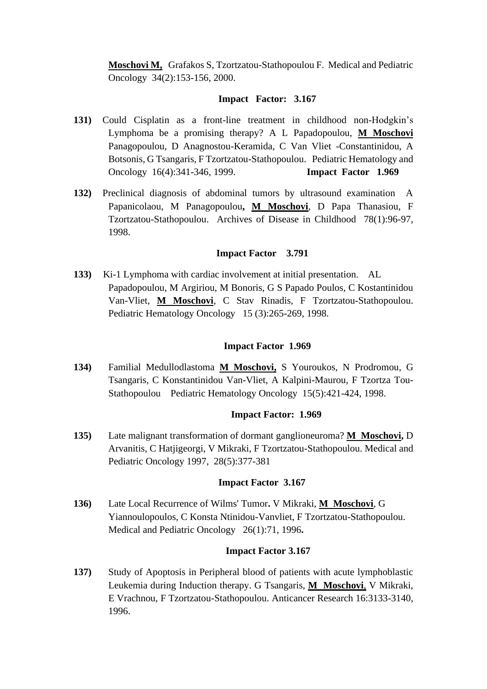**Moschovi M,** Grafakos S, Tzortzatou-Stathopoulou F. Medical and Pediatric Oncology 34(2):153-156, 2000.

#### **Impact Factor: 3.167**

- **131)** Could Cisplatin as a front-line treatment in childhood non-Hodgkin's Lymphoma be a promising therapy? A L Papadopoulou, **M Moschovi** Panagopoulou, D Anagnostou-Keramida, C Van Vliet -Constantinidou, A Botsonis, G Tsangaris, F Tzortzatou-Stathopoulou. Pediatric Hematology and Oncology 16(4):341-346, 1999. **Impact Factor 1.969**
- **132)** Preclinical diagnosis of abdominal tumors by ultrasound examination A Papanicolaou, M Panagopoulou**, M Moschovi**, D Papa Thanasiou, F Tzortzatou-Stathopoulou. Archives of Disease in Childhood 78(1):96-97, 1998.

### **Impact Factor 3.791**

**133)** Ki-1 Lymphoma with cardiac involvement at initial presentation. AL Papadopoulou, M Argiriou, M Bonoris, G S Papado Poulos, C Kostantinidou Van-Vliet, **M Moschovi**, C Stav Rinadis, F Tzortzatou-Stathopoulou. Pediatric Hematology Oncology 15 (3):265-269, 1998.

### **Impact Factor 1.969**

**134)** Familial Medullodlastoma **M Moschovi,** S Youroukos, N Prodromou, G Tsangaris, C Konstantinidou Van-Vliet, A Kalpini-Maurou, F Tzortza Tou-Stathopoulou Pediatric Hematology Oncology 15(5):421-424, 1998.

### **Impact Factor: 1.969**

**135)** Late malignant transformation of dormant ganglioneuroma? **M Moschovi,** D Arvanitis, C Hatjigeorgi, V Mikraki, F Tzortzatou-Stathopoulou. Medical and Pediatric Oncology 1997, 28(5):377-381

### **Impact Factor 3.167**

**136)** Late Local Recurrence of Wilms' Tumor**.** V Mikraki, **M Moschovi**, G Yiannoulopoulos, C Konsta Ntinidou-Vanvliet, F Tzortzatou-Stathopoulou. Medical and Pediatric Oncology 26(1):71, 1996**.** 

### **Impact Factor 3.167**

**137)** Study of Apoptosis in Peripheral blood of patients with acute lymphoblastic Leukemia during Induction therapy. G Tsangaris, **M Moschovi**, V Mikraki, E Vrachnou, F Tzortzatou-Stathopoulou. Anticancer Research 16:3133-3140, 1996.